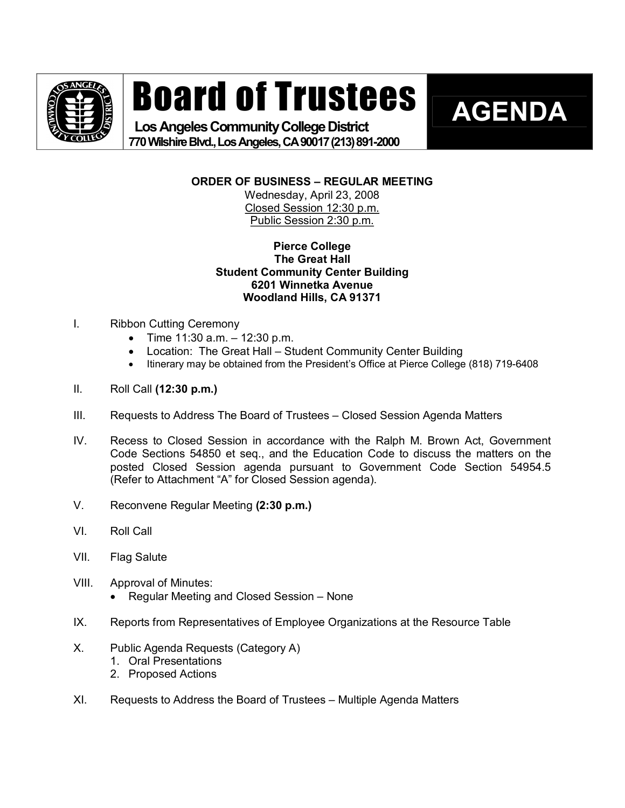

# Board of Trustees

Los Angeles Community College District **770WilshireBlvd.,LosAngeles,CA90017(213)8912000**  **AGENDA** 

**ORDER OF BUSINESS – REGULAR MEETING**

Wednesday, April 23, 2008 Closed Session 12:30 p.m. Public Session 2:30 p.m.

# **Pierce College The Great Hall Student Community Center Building 6201 Winnetka Avenue Woodland Hills, CA 91371**

- I. Ribbon Cutting Ceremony
	- Time  $11:30$  a.m.  $-12:30$  p.m.
	- Location: The Great Hall Student Community Center Building
	- Itinerary may be obtained from the President's Office at Pierce College (818) 719-6408
- II. Roll Call **(12:30 p.m.)**
- III. Requests to Address The Board of Trustees Closed Session Agenda Matters
- IV. Recess to Closed Session in accordance with the Ralph M. Brown Act, Government Code Sections 54850 et seq., and the Education Code to discuss the matters on the posted Closed Session agenda pursuant to Government Code Section 54954.5 (Refer to Attachment "A" for Closed Session agenda).
- V. Reconvene Regular Meeting **(2:30 p.m.)**
- VI. Roll Call
- VII. Flag Salute
- VIII. Approval of Minutes:
	- · Regular Meeting and Closed Session None
- IX. Reports from Representatives of Employee Organizations at the Resource Table
- X. Public Agenda Requests (Category A)
	- 1. Oral Presentations
	- 2. Proposed Actions
- XI. Requests to Address the Board of Trustees Multiple Agenda Matters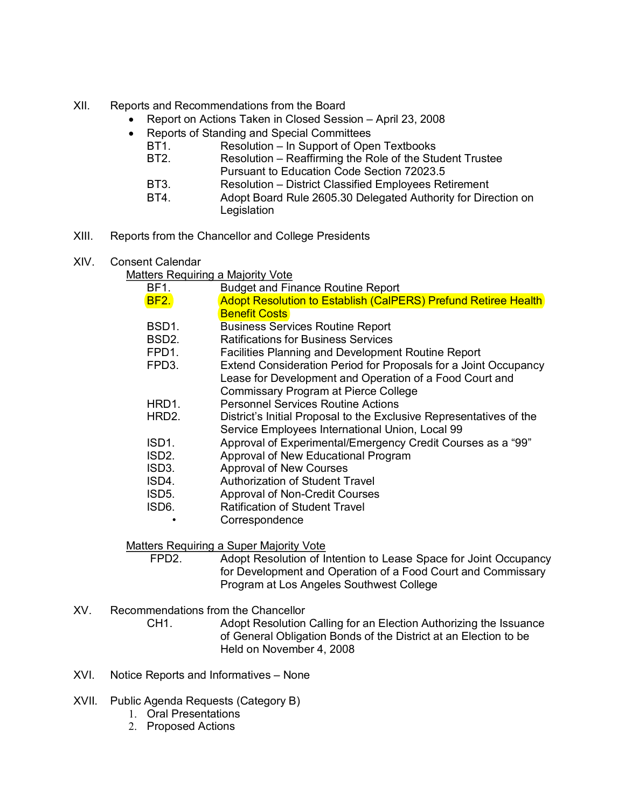- XII. Reports and Recommendations from the Board
	- Report on Actions Taken in Closed Session April 23, 2008
	- · Reports of Standing and Special Committees
		- BT1. Resolution In Support of Open Textbooks<br>BT2. Resolution Reaffirming the Role of the Stu
			- Resolution Reaffirming the Role of the Student Trustee Pursuant to Education Code Section 72023.5
		- BT3. Resolution District Classified Employees Retirement
		- BT4. Adopt Board Rule 2605.30 Delegated Authority for Direction on **Legislation**
- XIII. Reports from the Chancellor and College Presidents
- XIV. Consent Calendar
	- Matters Requiring a Majority Vote

| BF1.                     | <b>Budget and Finance Routine Report</b>                                                                                                                                  |
|--------------------------|---------------------------------------------------------------------------------------------------------------------------------------------------------------------------|
| <b>BF2.</b>              | <b>Adopt Resolution to Establish (CalPERS) Prefund Retiree Health</b>                                                                                                     |
|                          | <b>Benefit Costs</b>                                                                                                                                                      |
| BSD <sub>1</sub> .       | <b>Business Services Routine Report</b>                                                                                                                                   |
| BSD <sub>2.</sub>        | <b>Ratifications for Business Services</b>                                                                                                                                |
| FPD <sub>1</sub> .       | Facilities Planning and Development Routine Report                                                                                                                        |
| FPD <sub>3</sub> .       | Extend Consideration Period for Proposals for a Joint Occupancy<br>Lease for Development and Operation of a Food Court and<br><b>Commissary Program at Pierce College</b> |
| HRD1.                    | <b>Personnel Services Routine Actions</b>                                                                                                                                 |
| HRD2.                    | District's Initial Proposal to the Exclusive Representatives of the<br>Service Employees International Union, Local 99                                                    |
| ISD1.                    | Approval of Experimental/Emergency Credit Courses as a "99"                                                                                                               |
| ISD <sub>2</sub> .       | Approval of New Educational Program                                                                                                                                       |
| ISD3.                    | <b>Approval of New Courses</b>                                                                                                                                            |
| ISD4.                    | Authorization of Student Travel                                                                                                                                           |
| ISD5.                    | <b>Approval of Non-Credit Courses</b>                                                                                                                                     |
| ISD6.                    | <b>Ratification of Student Travel</b>                                                                                                                                     |
|                          | Correspondence                                                                                                                                                            |
| $\overline{\phantom{a}}$ | $\sim$<br>.                                                                                                                                                               |

Matters Requiring a Super Majority Vote<br>FPD2 Adopt Resolution of Ir

Adopt Resolution of Intention to Lease Space for Joint Occupancy for Development and Operation of a Food Court and Commissary Program at Los Angeles Southwest College

XV. Recommendations from the Chancellor

CH1. Adopt Resolution Calling for an Election Authorizing the Issuance of General Obligation Bonds of the District at an Election to be Held on November 4, 2008

- XVI. Notice Reports and Informatives None
- XVII. Public Agenda Requests (Category B)
	- 1. Oral Presentations
	- 2. Proposed Actions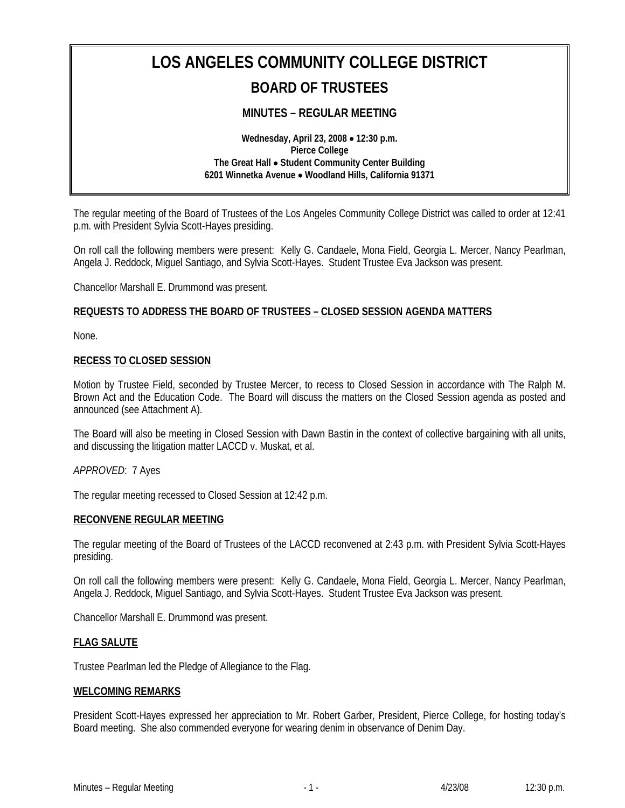# **LOS ANGELES COMMUNITY COLLEGE DISTRICT BOARD OF TRUSTEES**

# **MINUTES – REGULAR MEETING**

**Wednesday, April 23, 2008** • **12:30 p.m. Pierce College The Great Hall** • **Student Community Center Building 6201 Winnetka Avenue** • **Woodland Hills, California 91371** 

The regular meeting of the Board of Trustees of the Los Angeles Community College District was called to order at 12:41 p.m. with President Sylvia Scott-Hayes presiding.

On roll call the following members were present: Kelly G. Candaele, Mona Field, Georgia L. Mercer, Nancy Pearlman, Angela J. Reddock, Miguel Santiago, and Sylvia Scott-Hayes. Student Trustee Eva Jackson was present.

Chancellor Marshall E. Drummond was present.

# **REQUESTS TO ADDRESS THE BOARD OF TRUSTEES – CLOSED SESSION AGENDA MATTERS**

None.

#### **RECESS TO CLOSED SESSION**

Motion by Trustee Field, seconded by Trustee Mercer, to recess to Closed Session in accordance with The Ralph M. Brown Act and the Education Code. The Board will discuss the matters on the Closed Session agenda as posted and announced (see Attachment A).

The Board will also be meeting in Closed Session with Dawn Bastin in the context of collective bargaining with all units, and discussing the litigation matter LACCD v. Muskat, et al.

#### *APPROVED*: 7 Ayes

The regular meeting recessed to Closed Session at 12:42 p.m.

#### **RECONVENE REGULAR MEETING**

The regular meeting of the Board of Trustees of the LACCD reconvened at 2:43 p.m. with President Sylvia Scott-Hayes presiding.

On roll call the following members were present: Kelly G. Candaele, Mona Field, Georgia L. Mercer, Nancy Pearlman, Angela J. Reddock, Miguel Santiago, and Sylvia Scott-Hayes. Student Trustee Eva Jackson was present.

Chancellor Marshall E. Drummond was present.

#### **FLAG SALUTE**

Trustee Pearlman led the Pledge of Allegiance to the Flag.

#### **WELCOMING REMARKS**

President Scott-Hayes expressed her appreciation to Mr. Robert Garber, President, Pierce College, for hosting today's Board meeting. She also commended everyone for wearing denim in observance of Denim Day.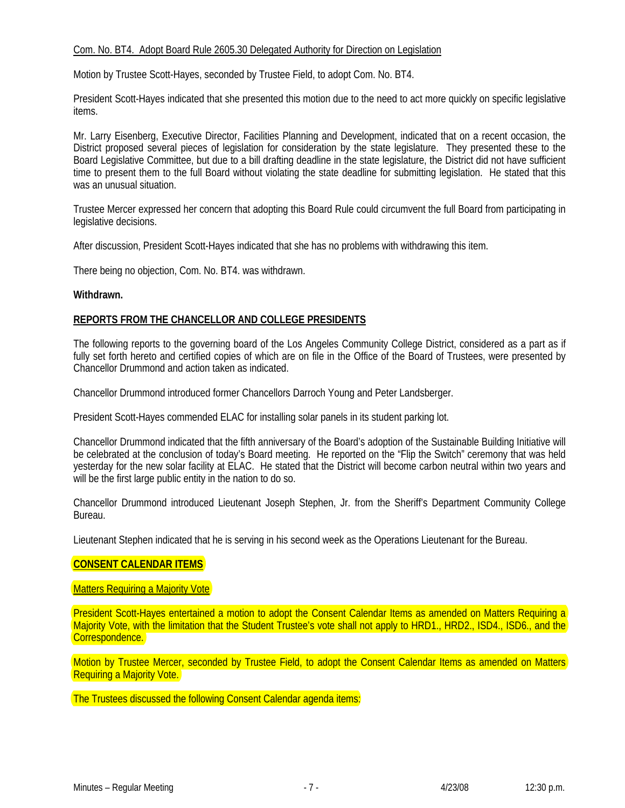# Com. No. BT4. Adopt Board Rule 2605.30 Delegated Authority for Direction on Legislation

Motion by Trustee Scott-Hayes, seconded by Trustee Field, to adopt Com. No. BT4.

President Scott-Hayes indicated that she presented this motion due to the need to act more quickly on specific legislative items.

Mr. Larry Eisenberg, Executive Director, Facilities Planning and Development, indicated that on a recent occasion, the District proposed several pieces of legislation for consideration by the state legislature. They presented these to the Board Legislative Committee, but due to a bill drafting deadline in the state legislature, the District did not have sufficient time to present them to the full Board without violating the state deadline for submitting legislation. He stated that this was an unusual situation.

Trustee Mercer expressed her concern that adopting this Board Rule could circumvent the full Board from participating in legislative decisions.

After discussion, President Scott-Hayes indicated that she has no problems with withdrawing this item.

There being no objection, Com. No. BT4. was withdrawn.

#### **Withdrawn.**

# **REPORTS FROM THE CHANCELLOR AND COLLEGE PRESIDENTS**

The following reports to the governing board of the Los Angeles Community College District, considered as a part as if fully set forth hereto and certified copies of which are on file in the Office of the Board of Trustees, were presented by Chancellor Drummond and action taken as indicated.

Chancellor Drummond introduced former Chancellors Darroch Young and Peter Landsberger.

President Scott-Hayes commended ELAC for installing solar panels in its student parking lot.

Chancellor Drummond indicated that the fifth anniversary of the Board's adoption of the Sustainable Building Initiative will be celebrated at the conclusion of today's Board meeting. He reported on the "Flip the Switch" ceremony that was held yesterday for the new solar facility at ELAC. He stated that the District will become carbon neutral within two years and will be the first large public entity in the nation to do so.

Chancellor Drummond introduced Lieutenant Joseph Stephen, Jr. from the Sheriff's Department Community College Bureau.

Lieutenant Stephen indicated that he is serving in his second week as the Operations Lieutenant for the Bureau.

# **CONSENT CALENDAR ITEMS**

Matters Requiring a Majority Vote

President Scott-Hayes entertained a motion to adopt the Consent Calendar Items as amended on Matters Requiring a Majority Vote, with the limitation that the Student Trustee's vote shall not apply to HRD1., HRD2., ISD4., ISD6., and the Correspondence.

Motion by Trustee Mercer, seconded by Trustee Field, to adopt the Consent Calendar Items as amended on Matters Requiring a Majority Vote.

The Trustees discussed the following Consent Calendar agenda items: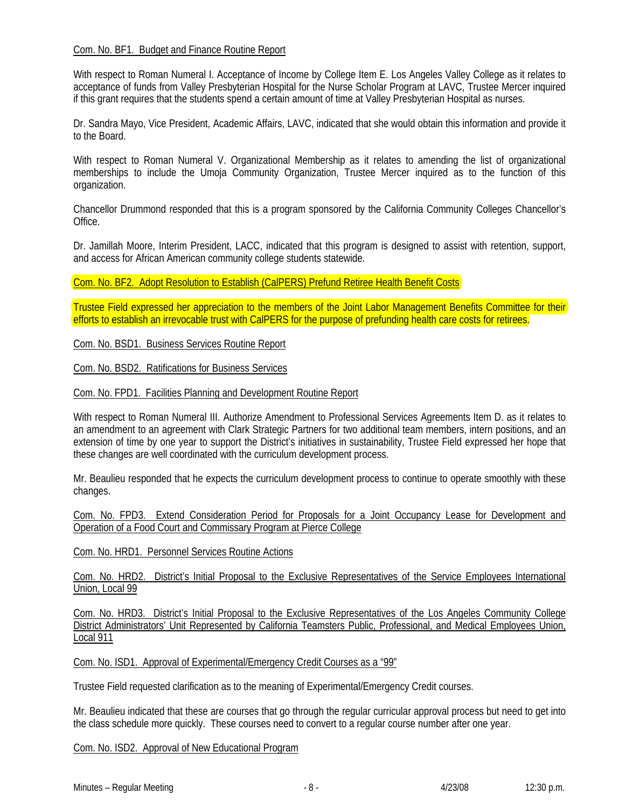# Com. No. BF1. Budget and Finance Routine Report

With respect to Roman Numeral I. Acceptance of Income by College Item E. Los Angeles Valley College as it relates to acceptance of funds from Valley Presbyterian Hospital for the Nurse Scholar Program at LAVC, Trustee Mercer inquired if this grant requires that the students spend a certain amount of time at Valley Presbyterian Hospital as nurses.

Dr. Sandra Mayo, Vice President, Academic Affairs, LAVC, indicated that she would obtain this information and provide it to the Board.

With respect to Roman Numeral V. Organizational Membership as it relates to amending the list of organizational memberships to include the Umoja Community Organization, Trustee Mercer inquired as to the function of this organization.

Chancellor Drummond responded that this is a program sponsored by the California Community Colleges Chancellor's **Office** 

Dr. Jamillah Moore, Interim President, LACC, indicated that this program is designed to assist with retention, support, and access for African American community college students statewide.

Com. No. BF2. Adopt Resolution to Establish (CalPERS) Prefund Retiree Health Benefit Costs

Trustee Field expressed her appreciation to the members of the Joint Labor Management Benefits Committee for their efforts to establish an irrevocable trust with CalPERS for the purpose of prefunding health care costs for retirees.

Com. No. BSD1. Business Services Routine Report

Com. No. BSD2. Ratifications for Business Services

Com. No. FPD1. Facilities Planning and Development Routine Report

With respect to Roman Numeral III. Authorize Amendment to Professional Services Agreements Item D. as it relates to an amendment to an agreement with Clark Strategic Partners for two additional team members, intern positions, and an extension of time by one year to support the District's initiatives in sustainability, Trustee Field expressed her hope that these changes are well coordinated with the curriculum development process.

Mr. Beaulieu responded that he expects the curriculum development process to continue to operate smoothly with these changes.

Com. No. FPD3. Extend Consideration Period for Proposals for a Joint Occupancy Lease for Development and Operation of a Food Court and Commissary Program at Pierce College

Com. No. HRD1. Personnel Services Routine Actions

Com. No. HRD2. District's Initial Proposal to the Exclusive Representatives of the Service Employees International Union, Local 99

Com. No. HRD3. District's Initial Proposal to the Exclusive Representatives of the Los Angeles Community College District Administrators' Unit Represented by California Teamsters Public, Professional, and Medical Employees Union, Local<sub>911</sub>

Com. No. ISD1. Approval of Experimental/Emergency Credit Courses as a "99"

Trustee Field requested clarification as to the meaning of Experimental/Emergency Credit courses.

Mr. Beaulieu indicated that these are courses that go through the regular curricular approval process but need to get into the class schedule more quickly. These courses need to convert to a regular course number after one year.

Com. No. ISD2. Approval of New Educational Program